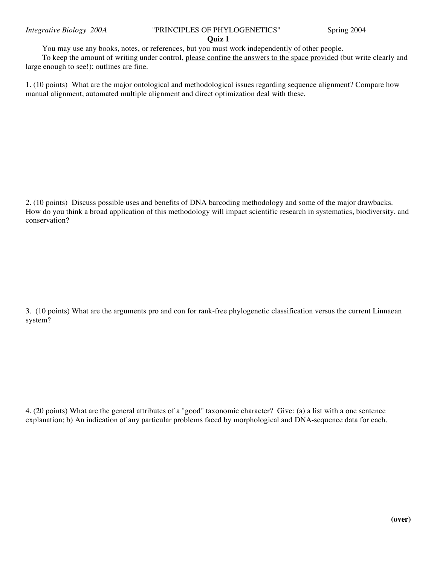## *Integrative Biology 200A* "PRINCIPLES OF PHYLOGENETICS" Spring 2004

## **Quiz 1**

You may use any books, notes, or references, but you must work independently of other people.

To keep the amount of writing under control, please confine the answers to the space provided (but write clearly and large enough to see!); outlines are fine.

1. (10 points) What are the major ontological and methodological issues regarding sequence alignment? Compare how manual alignment, automated multiple alignment and direct optimization deal with these.

2. (10 points) Discuss possible uses and benefits of DNA barcoding methodology and some of the major drawbacks. How do you think a broad application of this methodology will impact scientific research in systematics, biodiversity, and conservation?

3. (10 points) What are the arguments pro and con for rank-free phylogenetic classification versus the current Linnaean system?

4. (20 points) What are the general attributes of a "good" taxonomic character? Give: (a) a list with a one sentence explanation; b) An indication of any particular problems faced by morphological and DNA-sequence data for each.